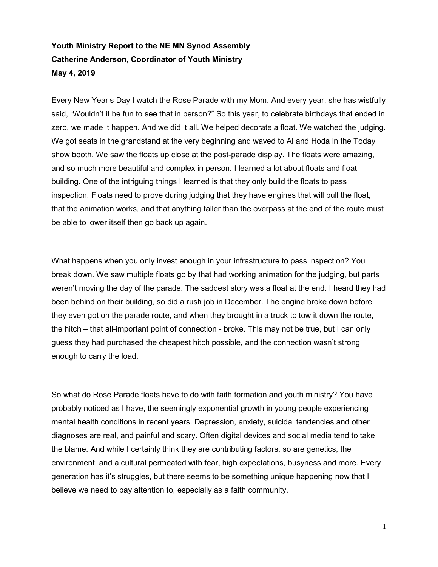## Youth Ministry Report to the NE MN Synod Assembly Catherine Anderson, Coordinator of Youth Ministry May 4, 2019

Every New Year's Day I watch the Rose Parade with my Mom. And every year, she has wistfully said, "Wouldn't it be fun to see that in person?" So this year, to celebrate birthdays that ended in zero, we made it happen. And we did it all. We helped decorate a float. We watched the judging. We got seats in the grandstand at the very beginning and waved to Al and Hoda in the Today show booth. We saw the floats up close at the post-parade display. The floats were amazing, and so much more beautiful and complex in person. I learned a lot about floats and float building. One of the intriguing things I learned is that they only build the floats to pass inspection. Floats need to prove during judging that they have engines that will pull the float, that the animation works, and that anything taller than the overpass at the end of the route must be able to lower itself then go back up again.

What happens when you only invest enough in your infrastructure to pass inspection? You break down. We saw multiple floats go by that had working animation for the judging, but parts weren't moving the day of the parade. The saddest story was a float at the end. I heard they had been behind on their building, so did a rush job in December. The engine broke down before they even got on the parade route, and when they brought in a truck to tow it down the route, the hitch – that all-important point of connection - broke. This may not be true, but I can only guess they had purchased the cheapest hitch possible, and the connection wasn't strong enough to carry the load.

So what do Rose Parade floats have to do with faith formation and youth ministry? You have probably noticed as I have, the seemingly exponential growth in young people experiencing mental health conditions in recent years. Depression, anxiety, suicidal tendencies and other diagnoses are real, and painful and scary. Often digital devices and social media tend to take the blame. And while I certainly think they are contributing factors, so are genetics, the environment, and a cultural permeated with fear, high expectations, busyness and more. Every generation has it's struggles, but there seems to be something unique happening now that I believe we need to pay attention to, especially as a faith community.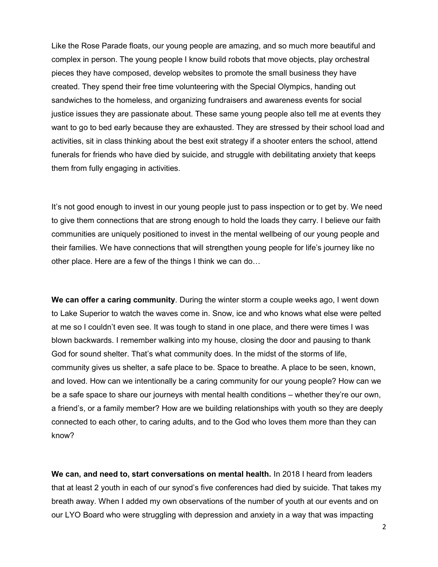Like the Rose Parade floats, our young people are amazing, and so much more beautiful and complex in person. The young people I know build robots that move objects, play orchestral pieces they have composed, develop websites to promote the small business they have created. They spend their free time volunteering with the Special Olympics, handing out sandwiches to the homeless, and organizing fundraisers and awareness events for social justice issues they are passionate about. These same young people also tell me at events they want to go to bed early because they are exhausted. They are stressed by their school load and activities, sit in class thinking about the best exit strategy if a shooter enters the school, attend funerals for friends who have died by suicide, and struggle with debilitating anxiety that keeps them from fully engaging in activities.

It's not good enough to invest in our young people just to pass inspection or to get by. We need to give them connections that are strong enough to hold the loads they carry. I believe our faith communities are uniquely positioned to invest in the mental wellbeing of our young people and their families. We have connections that will strengthen young people for life's journey like no other place. Here are a few of the things I think we can do…

We can offer a caring community. During the winter storm a couple weeks ago, I went down to Lake Superior to watch the waves come in. Snow, ice and who knows what else were pelted at me so I couldn't even see. It was tough to stand in one place, and there were times I was blown backwards. I remember walking into my house, closing the door and pausing to thank God for sound shelter. That's what community does. In the midst of the storms of life, community gives us shelter, a safe place to be. Space to breathe. A place to be seen, known, and loved. How can we intentionally be a caring community for our young people? How can we be a safe space to share our journeys with mental health conditions – whether they're our own, a friend's, or a family member? How are we building relationships with youth so they are deeply connected to each other, to caring adults, and to the God who loves them more than they can know?

We can, and need to, start conversations on mental health. In 2018 I heard from leaders that at least 2 youth in each of our synod's five conferences had died by suicide. That takes my breath away. When I added my own observations of the number of youth at our events and on our LYO Board who were struggling with depression and anxiety in a way that was impacting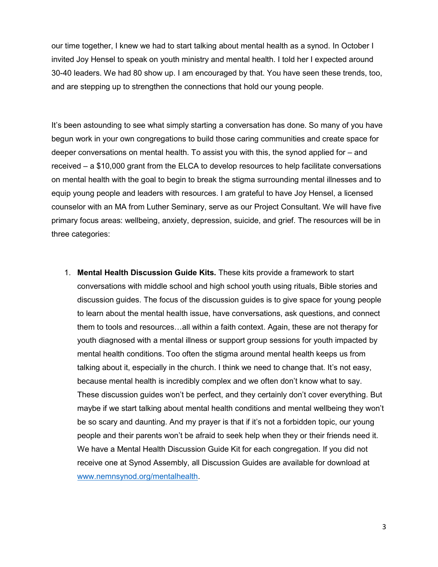our time together, I knew we had to start talking about mental health as a synod. In October I invited Joy Hensel to speak on youth ministry and mental health. I told her I expected around 30-40 leaders. We had 80 show up. I am encouraged by that. You have seen these trends, too, and are stepping up to strengthen the connections that hold our young people.

It's been astounding to see what simply starting a conversation has done. So many of you have begun work in your own congregations to build those caring communities and create space for deeper conversations on mental health. To assist you with this, the synod applied for – and received – a \$10,000 grant from the ELCA to develop resources to help facilitate conversations on mental health with the goal to begin to break the stigma surrounding mental illnesses and to equip young people and leaders with resources. I am grateful to have Joy Hensel, a licensed counselor with an MA from Luther Seminary, serve as our Project Consultant. We will have five primary focus areas: wellbeing, anxiety, depression, suicide, and grief. The resources will be in three categories:

1. Mental Health Discussion Guide Kits. These kits provide a framework to start conversations with middle school and high school youth using rituals, Bible stories and discussion guides. The focus of the discussion guides is to give space for young people to learn about the mental health issue, have conversations, ask questions, and connect them to tools and resources…all within a faith context. Again, these are not therapy for youth diagnosed with a mental illness or support group sessions for youth impacted by mental health conditions. Too often the stigma around mental health keeps us from talking about it, especially in the church. I think we need to change that. It's not easy, because mental health is incredibly complex and we often don't know what to say. These discussion guides won't be perfect, and they certainly don't cover everything. But maybe if we start talking about mental health conditions and mental wellbeing they won't be so scary and daunting. And my prayer is that if it's not a forbidden topic, our young people and their parents won't be afraid to seek help when they or their friends need it. We have a Mental Health Discussion Guide Kit for each congregation. If you did not receive one at Synod Assembly, all Discussion Guides are available for download at www.nemnsynod.org/mentalhealth.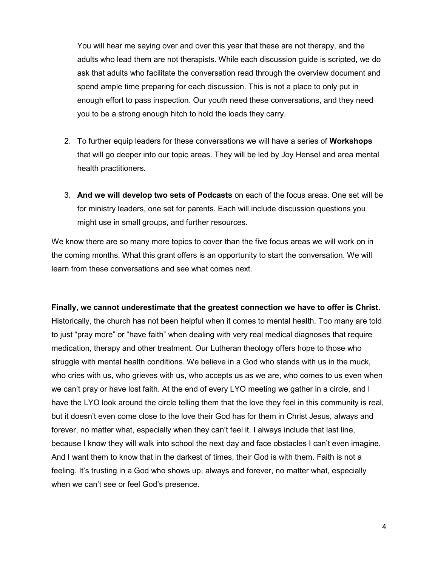You will hear me saying over and over this year that these are not therapy, and the adults who lead them are not therapists. While each discussion guide is scripted, we do ask that adults who facilitate the conversation read through the overview document and spend ample time preparing for each discussion. This is not a place to only put in enough effort to pass inspection. Our youth need these conversations, and they need you to be a strong enough hitch to hold the loads they carry.

- 2. To further equip leaders for these conversations we will have a series of Workshops that will go deeper into our topic areas. They will be led by Joy Hensel and area mental health practitioners.
- 3. And we will develop two sets of Podcasts on each of the focus areas. One set will be for ministry leaders, one set for parents. Each will include discussion questions you might use in small groups, and further resources.

We know there are so many more topics to cover than the five focus areas we will work on in the coming months. What this grant offers is an opportunity to start the conversation. We will learn from these conversations and see what comes next.

Finally, we cannot underestimate that the greatest connection we have to offer is Christ. Historically, the church has not been helpful when it comes to mental health. Too many are told to just "pray more" or "have faith" when dealing with very real medical diagnoses that require medication, therapy and other treatment. Our Lutheran theology offers hope to those who struggle with mental health conditions. We believe in a God who stands with us in the muck, who cries with us, who grieves with us, who accepts us as we are, who comes to us even when we can't pray or have lost faith. At the end of every LYO meeting we gather in a circle, and I have the LYO look around the circle telling them that the love they feel in this community is real, but it doesn't even come close to the love their God has for them in Christ Jesus, always and forever, no matter what, especially when they can't feel it. I always include that last line, because I know they will walk into school the next day and face obstacles I can't even imagine. And I want them to know that in the darkest of times, their God is with them. Faith is not a feeling. It's trusting in a God who shows up, always and forever, no matter what, especially when we can't see or feel God's presence.